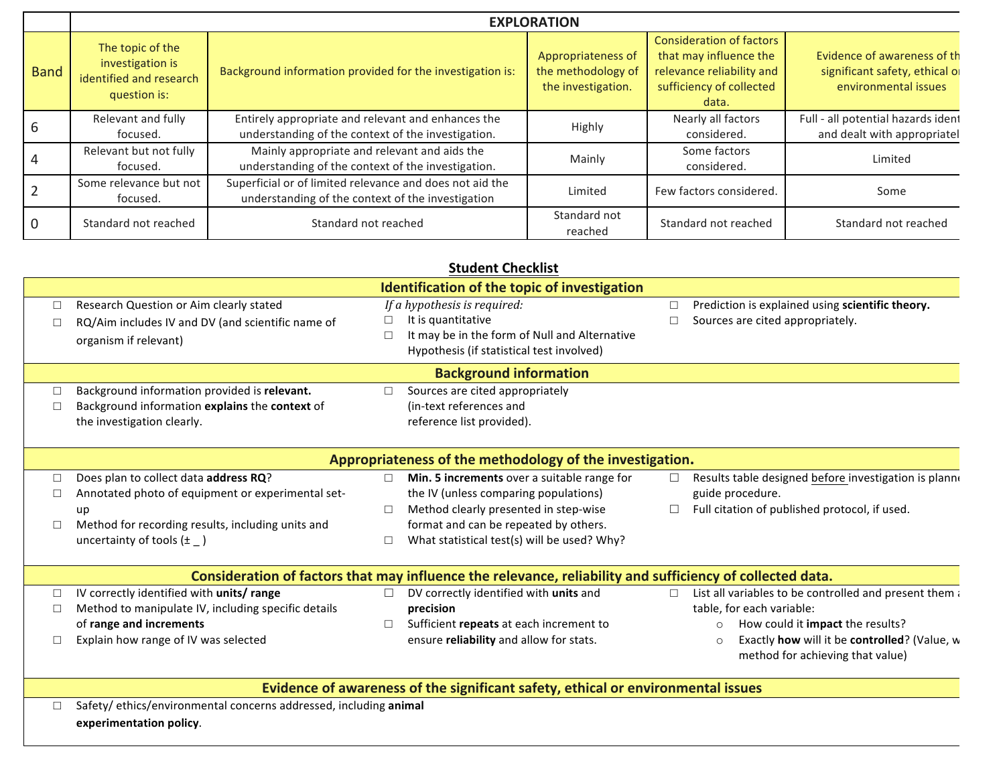|                | <b>EXPLORATION</b>                                                              |                                                                                                               |                                                                |                                                                                                                             |                                                                                       |  |
|----------------|---------------------------------------------------------------------------------|---------------------------------------------------------------------------------------------------------------|----------------------------------------------------------------|-----------------------------------------------------------------------------------------------------------------------------|---------------------------------------------------------------------------------------|--|
| <b>Band</b>    | The topic of the<br>investigation is<br>identified and research<br>question is: | Background information provided for the investigation is:                                                     | Appropriateness of<br>the methodology of<br>the investigation. | <b>Consideration of factors</b><br>that may influence the<br>relevance reliability and<br>sufficiency of collected<br>data. | Evidence of awareness of th<br>significant safety, ethical of<br>environmental issues |  |
| 6              | Relevant and fully<br>focused.                                                  | Entirely appropriate and relevant and enhances the<br>understanding of the context of the investigation.      | Highly                                                         | Nearly all factors<br>considered.                                                                                           | Full - all potential hazards ident<br>and dealt with appropriatel                     |  |
| $\overline{4}$ | Relevant but not fully<br>focused.                                              | Mainly appropriate and relevant and aids the<br>understanding of the context of the investigation.            | Mainly                                                         | Some factors<br>considered.                                                                                                 | Limited                                                                               |  |
| $\overline{2}$ | Some relevance but not<br>focused.                                              | Superficial or of limited relevance and does not aid the<br>understanding of the context of the investigation | Limited                                                        | Few factors considered.                                                                                                     | Some                                                                                  |  |
| $\overline{0}$ | Standard not reached                                                            | Standard not reached                                                                                          | Standard not<br>reached                                        | Standard not reached                                                                                                        | Standard not reached                                                                  |  |

| <b>Student Checklist</b>                                                                                  |                                                     |                                                                                  |        |                                                                                             |  |
|-----------------------------------------------------------------------------------------------------------|-----------------------------------------------------|----------------------------------------------------------------------------------|--------|---------------------------------------------------------------------------------------------|--|
| <b>Identification of the topic of investigation</b>                                                       |                                                     |                                                                                  |        |                                                                                             |  |
|                                                                                                           | Research Question or Aim clearly stated             | If a hypothesis is required:                                                     | $\Box$ | Prediction is explained using scientific theory.                                            |  |
| П                                                                                                         | RQ/Aim includes IV and DV (and scientific name of   | It is quantitative                                                               | П      | Sources are cited appropriately.                                                            |  |
|                                                                                                           | organism if relevant)                               | It may be in the form of Null and Alternative<br>$\Box$                          |        |                                                                                             |  |
|                                                                                                           |                                                     | Hypothesis (if statistical test involved)                                        |        |                                                                                             |  |
| <b>Background information</b>                                                                             |                                                     |                                                                                  |        |                                                                                             |  |
|                                                                                                           | Background information provided is relevant.        | Sources are cited appropriately<br>$\Box$                                        |        |                                                                                             |  |
|                                                                                                           | Background information explains the context of      | (in-text references and                                                          |        |                                                                                             |  |
|                                                                                                           | the investigation clearly.                          | reference list provided).                                                        |        |                                                                                             |  |
| Appropriateness of the methodology of the investigation.                                                  |                                                     |                                                                                  |        |                                                                                             |  |
|                                                                                                           | Does plan to collect data address RQ?               | Min. 5 increments over a suitable range for                                      | $\Box$ | Results table designed before investigation is planne                                       |  |
|                                                                                                           | Annotated photo of equipment or experimental set-   | the IV (unless comparing populations)                                            |        | guide procedure.                                                                            |  |
|                                                                                                           | up                                                  | Method clearly presented in step-wise<br>$\Box$                                  | П      | Full citation of published protocol, if used.                                               |  |
|                                                                                                           | Method for recording results, including units and   | format and can be repeated by others.                                            |        |                                                                                             |  |
|                                                                                                           | uncertainty of tools $(\pm)$                        | What statistical test(s) will be used? Why?<br>$\Box$                            |        |                                                                                             |  |
| Consideration of factors that may influence the relevance, reliability and sufficiency of collected data. |                                                     |                                                                                  |        |                                                                                             |  |
| п                                                                                                         | IV correctly identified with units/range            | DV correctly identified with units and                                           | $\Box$ | List all variables to be controlled and present them a                                      |  |
|                                                                                                           | Method to manipulate IV, including specific details | precision                                                                        |        | table, for each variable:                                                                   |  |
|                                                                                                           | of range and increments                             | Sufficient repeats at each increment to<br>$\Box$                                |        | How could it impact the results?<br>$\circ$                                                 |  |
|                                                                                                           | Explain how range of IV was selected                | ensure reliability and allow for stats.                                          |        | Exactly how will it be controlled? (Value, w<br>$\circ$<br>method for achieving that value) |  |
|                                                                                                           |                                                     | Evidence of awareness of the significant safety, ethical or environmental issues |        |                                                                                             |  |

□ Safety/ ethics/environmental concerns addressed, including animal **experimentation policy**.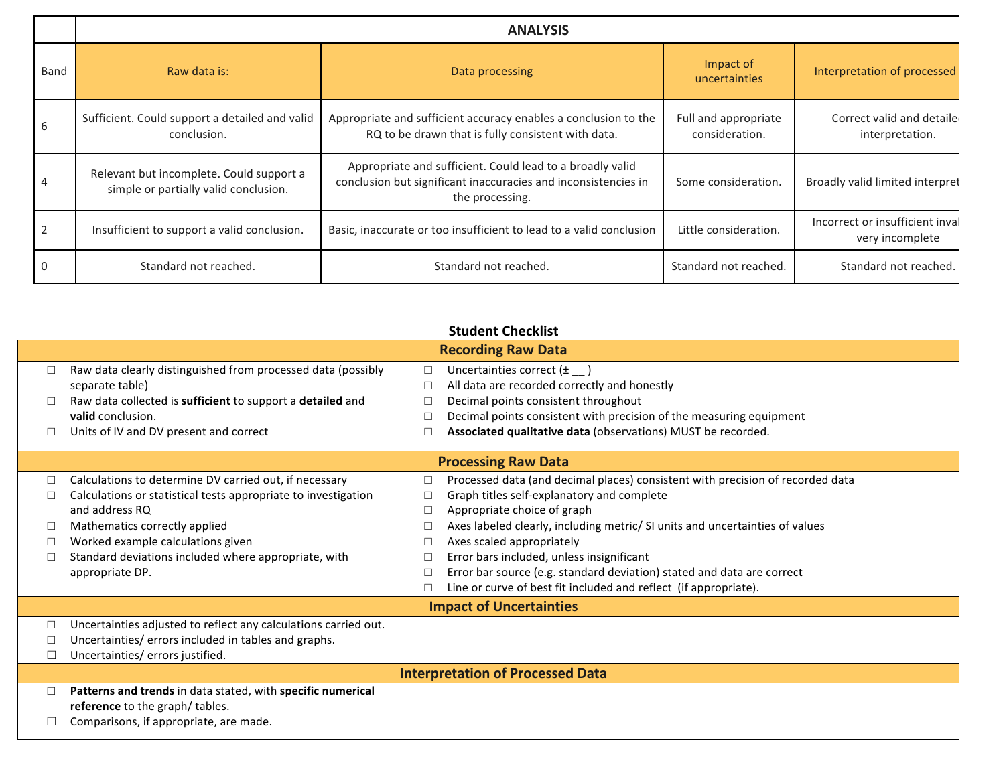|                | <b>ANALYSIS</b>                                                                                                    |                                                                                                                                                |                                        |                                                    |  |
|----------------|--------------------------------------------------------------------------------------------------------------------|------------------------------------------------------------------------------------------------------------------------------------------------|----------------------------------------|----------------------------------------------------|--|
| Band           | Raw data is:<br>Data processing                                                                                    |                                                                                                                                                | Impact of<br>uncertainties             | Interpretation of processed                        |  |
| 6              | Sufficient. Could support a detailed and valid<br>conclusion.                                                      | Appropriate and sufficient accuracy enables a conclusion to the<br>RQ to be drawn that is fully consistent with data.                          | Full and appropriate<br>consideration. | Correct valid and detaile<br>interpretation.       |  |
| $\overline{4}$ | Relevant but incomplete. Could support a<br>simple or partially valid conclusion.                                  | Appropriate and sufficient. Could lead to a broadly valid<br>conclusion but significant inaccuracies and inconsistencies in<br>the processing. | Some consideration.                    | Broadly valid limited interpret                    |  |
| $\overline{2}$ | Insufficient to support a valid conclusion.<br>Basic, inaccurate or too insufficient to lead to a valid conclusion |                                                                                                                                                | Little consideration.                  | Incorrect or insufficient inval<br>very incomplete |  |
| $\overline{0}$ | Standard not reached.                                                                                              | Standard not reached.                                                                                                                          | Standard not reached.                  | Standard not reached.                              |  |

|                                         | <b>Student Checklist</b>                                        |        |                                                                                |  |  |
|-----------------------------------------|-----------------------------------------------------------------|--------|--------------------------------------------------------------------------------|--|--|
|                                         | <b>Recording Raw Data</b>                                       |        |                                                                                |  |  |
|                                         | Raw data clearly distinguished from processed data (possibly    | $\Box$ | Uncertainties correct $(\pm \_)$                                               |  |  |
|                                         | separate table)                                                 | $\Box$ | All data are recorded correctly and honestly                                   |  |  |
|                                         | Raw data collected is sufficient to support a detailed and      | $\Box$ | Decimal points consistent throughout                                           |  |  |
|                                         | valid conclusion.                                               | □      | Decimal points consistent with precision of the measuring equipment            |  |  |
| □                                       | Units of IV and DV present and correct                          | $\Box$ | Associated qualitative data (observations) MUST be recorded.                   |  |  |
|                                         |                                                                 |        | <b>Processing Raw Data</b>                                                     |  |  |
| п                                       | Calculations to determine DV carried out, if necessary          | П      | Processed data (and decimal places) consistent with precision of recorded data |  |  |
|                                         | Calculations or statistical tests appropriate to investigation  | П      | Graph titles self-explanatory and complete                                     |  |  |
|                                         | and address RQ                                                  | $\Box$ | Appropriate choice of graph                                                    |  |  |
|                                         | Mathematics correctly applied                                   |        | Axes labeled clearly, including metric/ SI units and uncertainties of values   |  |  |
|                                         | Worked example calculations given                               | ⊔      | Axes scaled appropriately                                                      |  |  |
|                                         | Standard deviations included where appropriate, with            | $\Box$ | Error bars included, unless insignificant                                      |  |  |
|                                         | appropriate DP.                                                 | □      | Error bar source (e.g. standard deviation) stated and data are correct         |  |  |
|                                         |                                                                 |        | Line or curve of best fit included and reflect (if appropriate).               |  |  |
|                                         | <b>Impact of Uncertainties</b>                                  |        |                                                                                |  |  |
|                                         | Uncertainties adjusted to reflect any calculations carried out. |        |                                                                                |  |  |
|                                         | Uncertainties/errors included in tables and graphs.             |        |                                                                                |  |  |
| ⊔                                       | Uncertainties/ errors justified.                                |        |                                                                                |  |  |
| <b>Interpretation of Processed Data</b> |                                                                 |        |                                                                                |  |  |
| П                                       | Patterns and trends in data stated, with specific numerical     |        |                                                                                |  |  |
|                                         | reference to the graph/ tables.                                 |        |                                                                                |  |  |
|                                         | Comparisons, if appropriate, are made.                          |        |                                                                                |  |  |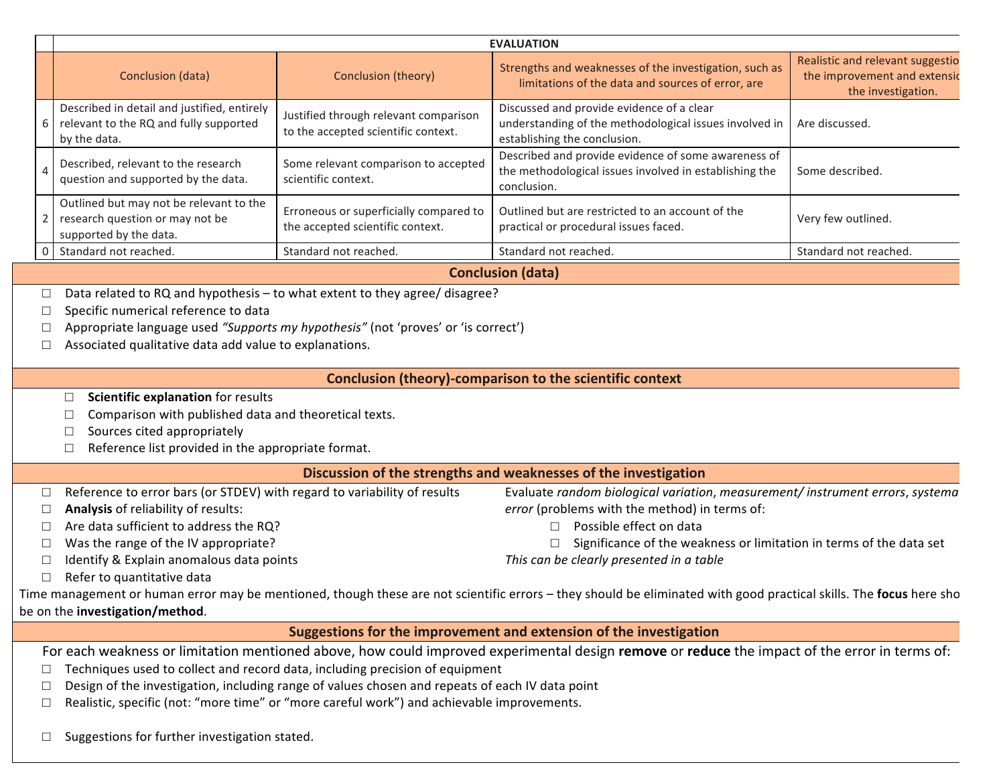|                                                          | <b>EVALUATION</b>                                                                                                                                                                                                                                                                                                                                                                                                                                            |                                                                              |                                                                                                                                                                                                                                                                                                                                                                                                                                                             |                                                                                        |  |  |  |
|----------------------------------------------------------|--------------------------------------------------------------------------------------------------------------------------------------------------------------------------------------------------------------------------------------------------------------------------------------------------------------------------------------------------------------------------------------------------------------------------------------------------------------|------------------------------------------------------------------------------|-------------------------------------------------------------------------------------------------------------------------------------------------------------------------------------------------------------------------------------------------------------------------------------------------------------------------------------------------------------------------------------------------------------------------------------------------------------|----------------------------------------------------------------------------------------|--|--|--|
|                                                          | Conclusion (data)                                                                                                                                                                                                                                                                                                                                                                                                                                            | Conclusion (theory)                                                          | Strengths and weaknesses of the investigation, such as<br>limitations of the data and sources of error, are                                                                                                                                                                                                                                                                                                                                                 | Realistic and relevant suggestio<br>the improvement and extensic<br>the investigation. |  |  |  |
| 6                                                        | Described in detail and justified, entirely<br>relevant to the RQ and fully supported<br>by the data.                                                                                                                                                                                                                                                                                                                                                        | Justified through relevant comparison<br>to the accepted scientific context. | Discussed and provide evidence of a clear<br>understanding of the methodological issues involved in<br>establishing the conclusion.                                                                                                                                                                                                                                                                                                                         | Are discussed.                                                                         |  |  |  |
| $\overline{A}$                                           | Described, relevant to the research<br>question and supported by the data.                                                                                                                                                                                                                                                                                                                                                                                   | Some relevant comparison to accepted<br>scientific context.                  | Described and provide evidence of some awareness of<br>the methodological issues involved in establishing the<br>conclusion.                                                                                                                                                                                                                                                                                                                                | Some described.                                                                        |  |  |  |
| $\overline{2}$                                           | Outlined but may not be relevant to the<br>research question or may not be<br>supported by the data.                                                                                                                                                                                                                                                                                                                                                         | Erroneous or superficially compared to<br>the accepted scientific context.   | Outlined but are restricted to an account of the<br>practical or procedural issues faced.                                                                                                                                                                                                                                                                                                                                                                   | Very few outlined.                                                                     |  |  |  |
| $\mathbf 0$                                              | Standard not reached.                                                                                                                                                                                                                                                                                                                                                                                                                                        | Standard not reached.                                                        | Standard not reached.                                                                                                                                                                                                                                                                                                                                                                                                                                       | Standard not reached.                                                                  |  |  |  |
|                                                          |                                                                                                                                                                                                                                                                                                                                                                                                                                                              |                                                                              | <b>Conclusion (data)</b>                                                                                                                                                                                                                                                                                                                                                                                                                                    |                                                                                        |  |  |  |
|                                                          | Data related to RQ and hypothesis - to what extent to they agree/ disagree?<br>$\Box$<br>Specific numerical reference to data<br>$\Box$<br>Appropriate language used "Supports my hypothesis" (not 'proves' or 'is correct')<br>$\Box$<br>Associated qualitative data add value to explanations.<br>$\Box$                                                                                                                                                   |                                                                              |                                                                                                                                                                                                                                                                                                                                                                                                                                                             |                                                                                        |  |  |  |
|                                                          | <b>Conclusion (theory)-comparison to the scientific context</b>                                                                                                                                                                                                                                                                                                                                                                                              |                                                                              |                                                                                                                                                                                                                                                                                                                                                                                                                                                             |                                                                                        |  |  |  |
|                                                          | Scientific explanation for results<br>$\Box$<br>Comparison with published data and theoretical texts.<br>Sources cited appropriately<br>⊔<br>Reference list provided in the appropriate format.<br>$\Box$                                                                                                                                                                                                                                                    |                                                                              |                                                                                                                                                                                                                                                                                                                                                                                                                                                             |                                                                                        |  |  |  |
|                                                          | Discussion of the strengths and weaknesses of the investigation                                                                                                                                                                                                                                                                                                                                                                                              |                                                                              |                                                                                                                                                                                                                                                                                                                                                                                                                                                             |                                                                                        |  |  |  |
| $\Box$<br>$\Box$<br>$\Box$<br>$\Box$<br>$\Box$<br>$\Box$ | Reference to error bars (or STDEV) with regard to variability of results<br>Analysis of reliability of results:<br>Are data sufficient to address the RQ?<br>Was the range of the IV appropriate?<br>Identify & Explain anomalous data points<br>Refer to quantitative data<br>be on the investigation/method.                                                                                                                                               |                                                                              | Evaluate random biological variation, measurement/instrument errors, systema<br>error (problems with the method) in terms of:<br>Possible effect on data<br>$\Box$<br>Significance of the weakness or limitation in terms of the data set<br>This can be clearly presented in a table<br>Time management or human error may be mentioned, though these are not scientific errors - they should be eliminated with good practical skills. The focus here sho |                                                                                        |  |  |  |
|                                                          | Suggestions for the improvement and extension of the investigation                                                                                                                                                                                                                                                                                                                                                                                           |                                                                              |                                                                                                                                                                                                                                                                                                                                                                                                                                                             |                                                                                        |  |  |  |
|                                                          | For each weakness or limitation mentioned above, how could improved experimental design remove or reduce the impact of the error in terms of:<br>Techniques used to collect and record data, including precision of equipment<br>$\Box$<br>Design of the investigation, including range of values chosen and repeats of each IV data point<br>$\Box$<br>Realistic, specific (not: "more time" or "more careful work") and achievable improvements.<br>$\Box$ |                                                                              |                                                                                                                                                                                                                                                                                                                                                                                                                                                             |                                                                                        |  |  |  |

 $\Box$  Suggestions for further investigation stated.